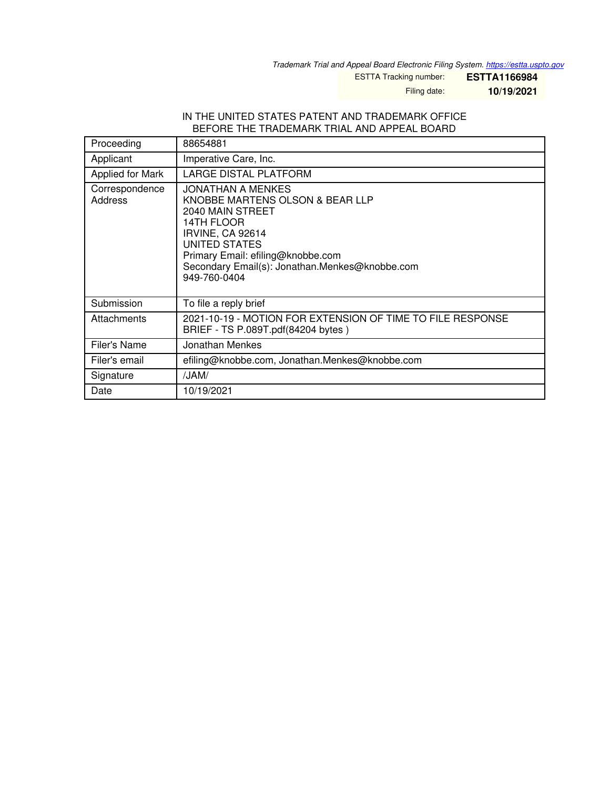*Trademark Trial and Appeal Board Electronic Filing System. <https://estta.uspto.gov>*

ESTTA Tracking number: **ESTTA1166984**

Filing date: **10/19/2021**

## IN THE UNITED STATES PATENT AND TRADEMARK OFFICE BEFORE THE TRADEMARK TRIAL AND APPEAL BOARD

| Proceeding                       | 88654881                                                                                                                                                                                                                                  |
|----------------------------------|-------------------------------------------------------------------------------------------------------------------------------------------------------------------------------------------------------------------------------------------|
| Applicant                        | Imperative Care, Inc.                                                                                                                                                                                                                     |
| Applied for Mark                 | LARGE DISTAL PLATFORM                                                                                                                                                                                                                     |
| Correspondence<br><b>Address</b> | JONATHAN A MENKES<br>KNOBBE MARTENS OLSON & BEAR LLP<br>2040 MAIN STREET<br>14TH FLOOR<br>IRVINE, CA 92614<br><b>UNITED STATES</b><br>Primary Email: efiling@knobbe.com<br>Secondary Email(s): Jonathan.Menkes@knobbe.com<br>949-760-0404 |
| Submission                       | To file a reply brief                                                                                                                                                                                                                     |
| Attachments                      | 2021-10-19 - MOTION FOR EXTENSION OF TIME TO FILE RESPONSE<br>BRIEF - TS P.089T.pdf(84204 bytes)                                                                                                                                          |
| Filer's Name                     | Jonathan Menkes                                                                                                                                                                                                                           |
| Filer's email                    | efiling@knobbe.com, Jonathan.Menkes@knobbe.com                                                                                                                                                                                            |
| Signature                        | /JAM/                                                                                                                                                                                                                                     |
| Date                             | 10/19/2021                                                                                                                                                                                                                                |